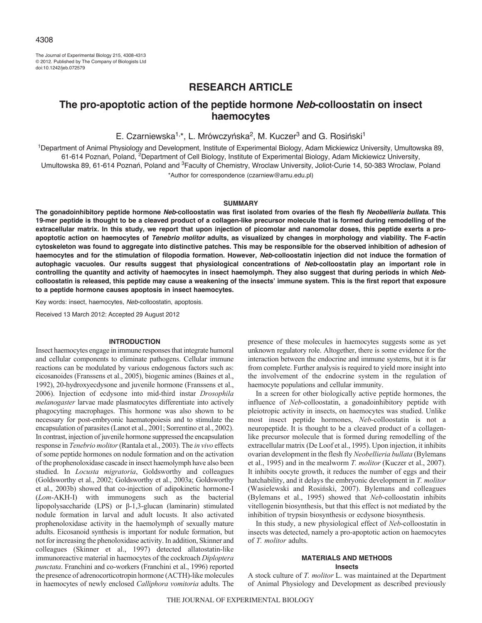The Journal of Experimental Biology 215, 4308-4313 © 2012. Published by The Company of Biologists Ltd doi:10.1242/jeb.072579

# **RESEARCH ARTICLE**

## **The pro-apoptotic action of the peptide hormone** *Neb***-colloostatin on insect haemocytes**

E. Czarniewska<sup>1,\*</sup>, L. Mrówczyńska<sup>2</sup>, M. Kuczer<sup>3</sup> and G. Rosiński<sup>1</sup>

<sup>1</sup>Department of Animal Physiology and Development, Institute of Experimental Biology, Adam Mickiewicz University, Umultowska 89, 61-614 Poznań, Poland, 2Department of Cell Biology, Institute of Experimental Biology, Adam Mickiewicz University, Umultowska 89, 61-614 Poznań, Poland and 3Faculty of Chemistry, Wroclaw University, Joliot-Curie 14, 50-383 Wroclaw, Poland \*Author for correspondence (czarniew@amu.edu.pl)

#### **SUMMARY**

**The gonadoinhibitory peptide hormone** *Neb***-colloostatin was first isolated from ovaries of the flesh fly** *Neobellieria bullata***. This 19-mer peptide is thought to be a cleaved product of a collagen-like precursor molecule that is formed during remodelling of the extracellular matrix. In this study, we report that upon injection of picomolar and nanomolar doses, this peptide exerts a proapoptotic action on haemocytes of** *Tenebrio molitor* **adults, as visualized by changes in morphology and viability. The F-actin cytoskeleton was found to aggregate into distinctive patches. This may be responsible for the observed inhibition of adhesion of haemocytes and for the stimulation of filopodia formation. However,** *Neb***-colloostatin injection did not induce the formation of autophagic vacuoles. Our results suggest that physiological concentrations of** *Neb***-colloostatin play an important role in controlling the quantity and activity of haemocytes in insect haemolymph. They also suggest that during periods in which** *Neb***colloostatin is released, this peptide may cause a weakening of the insects' immune system. This is the first report that exposure to a peptide hormone causes apoptosis in insect haemocytes.**

Key words: insect, haemocytes, *Neb*-colloostatin, apoptosis.

Received 13 March 2012: Accepted 29 August 2012

#### **INTRODUCTION**

Insect haemocytes engage in immune responses that integrate humoral and cellular components to eliminate pathogens. Cellular immune reactions can be modulated by various endogenous factors such as: eicosanoides (Franssens et al., 2005), biogenic amines (Baines et al., 1992), 20-hydroxyecdysone and juvenile hormone (Franssens et al., 2006). Injection of ecdysone into mid-third instar *Drosophila melanogaster* larvae made plasmatocytes differentiate into actively phagocyting macrophages. This hormone was also shown to be necessary for post-embryonic haematopoiesis and to stimulate the encapsulation of parasites (Lanot et al., 2001; Sorrentino et al., 2002). In contrast, injection of juvenile hormone suppressed the encapsulation response in *Tenebrio molitor*(Rantala et al., 2003). The *in vivo* effects of some peptide hormones on nodule formation and on the activation of the prophenoloxidase cascade in insect haemolymph have also been studied. In *Locusta migratoria*, Goldsworthy and colleagues (Goldsworthy et al., 2002; Goldsworthy et al., 2003a; Goldsworthy et al., 2003b) showed that co-injection of adipokinetic hormone-I (*Lom*-AKH-I) with immunogens such as the bacterial lipopolysaccharide (LPS) or β-1,3-glucan (laminarin) stimulated nodule formation in larval and adult locusts. It also activated prophenoloxidase activity in the haemolymph of sexually mature adults. Eicosanoid synthesis is important for nodule formation, but not for increasing the phenoloxidase activity. In addition, Skinner and colleagues (Skinner et al., 1997) detected allatostatin-like immunoreactive material in haemocytes of the cockroach *Diploptera punctata*. Franchini and co-workers (Franchini et al., 1996) reported the presence of adrenocorticotropin hormone (ACTH)-like molecules in haemocytes of newly enclosed *Calliphora vomitoria* adults. The presence of these molecules in haemocytes suggests some as yet unknown regulatory role. Altogether, there is some evidence for the interaction between the endocrine and immune systems, but it is far from complete. Further analysis is required to yield more insight into the involvement of the endocrine system in the regulation of haemocyte populations and cellular immunity.

In a screen for other biologically active peptide hormones, the influence of *Neb*-colloostatin, a gonadoinhibitory peptide with pleiotropic activity in insects, on haemocytes was studied. Unlike most insect peptide hormones, *Neb*-colloostatin is not a neuropeptide. It is thought to be a cleaved product of a collagenlike precursor molecule that is formed during remodelling of the extracellular matrix (De Loof et al., 1995). Upon injection, it inhibits ovarian development in the flesh fly *Neobellieria bullata* (Bylemans et al., 1995) and in the mealworm *T. molitor* (Kuczer et al., 2007). It inhibits oocyte growth, it reduces the number of eggs and their hatchability, and it delays the embryonic development in *T. molitor* (Wasielewski and Rosiński, 2007). Bylemans and colleagues (Bylemans et al., 1995) showed that *Neb*-colloostatin inhibits vitellogenin biosynthesis, but that this effect is not mediated by the inhibition of trypsin biosynthesis or ecdysone biosynthesis.

In this study, a new physiological effect of *Neb*-colloostatin in insects was detected, namely a pro-apoptotic action on haemocytes of *T. molitor* adults.

## **MATERIALS AND METHODS**

**Insects**

A stock culture of *T. molitor* L. was maintained at the Department of Animal Physiology and Development as described previously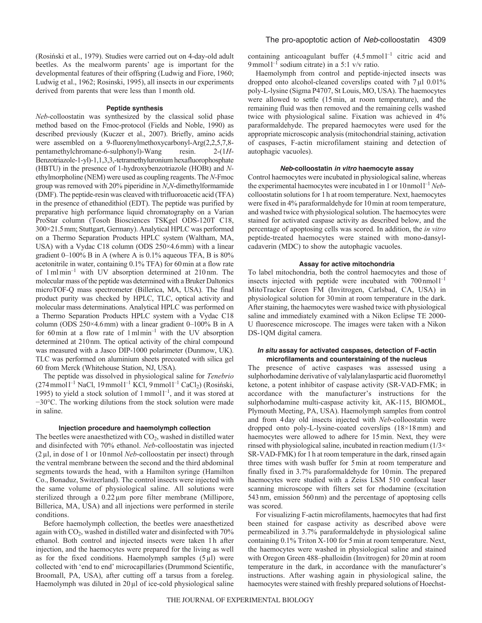(Rosiński et al., 1979). Studies were carried out on 4-day-old adult beetles. As the mealworm parents' age is important for the developmental features of their offspring (Ludwig and Fiore, 1960; Ludwig et al., 1962; Rosinski, 1995), all insects in our experiments derived from parents that were less than 1month old.

#### **Peptide synthesis**

*Neb*-colloostatin was synthesized by the classical solid phase method based on the Fmoc-protocol (Fields and Noble, 1990) as described previously (Kuczer et al., 2007). Briefly, amino acids were assembled on a 9-fluorenylmethoxycarbonyl-Arg(2,2,5,7,8 pentamethylchromane-6-sulphonyl)-Wang resin. 2-(1*H*-Benzotriazole-1-yl)-1,1,3,3,-tetramethyluronium hexafluorophosphate (HBTU) in the presence of 1-hydroxybenzotriazole (HOBt) and *N*ethylmorpholine (NEM) were used as coupling reagents. The *N*-Fmoc group was removed with 20% piperidine in *N*,*N*-dimethylformamide (DMF). The peptide-resin was cleaved with trifluoroacetic acid (TFA) in the presence of ethanedithiol (EDT). The peptide was purified by preparative high performance liquid chromatography on a Varian ProStar column (Tosoh Biosciences TSKgel ODS-120T C18, 300×21.5mm; Stuttgart, Germany). Analytical HPLC was performed on a Thermo Separation Products HPLC system (Waltham, MA, USA) with a Vydac C18 column (ODS 250×4.6mm) with a linear gradient 0–100% B in A (where A is 0.1% aqueous TFA, B is 80% acetonitrile in water, containing 0.1% TFA) for 60min at a flow rate of 1mlmin–1 with UV absorption determined at 210 nm. The molecular mass of the peptide was determined with a Bruker Daltonics microTOF-Q mass spectrometer (Billerica, MA, USA). The final product purity was checked by HPLC, TLC, optical activity and molecular mass determinations. Analytical HPLC was performed on a Thermo Separation Products HPLC system with a Vydac C18 column (ODS  $250 \times 4.6$  mm) with a linear gradient 0–100% B in A for 60min at a flow rate of 1mlmin–1 with the UV absorption determined at 210nm. The optical activity of the chiral compound was measured with a Jasco DIP-1000 polarimeter (Dunmow, UK). TLC was performed on aluminium sheets precoated with silica gel 60 from Merck (Whitehouse Station, NJ, USA).

The peptide was dissolved in physiological saline for *Tenebrio* (274mmoll –1 NaCl, 19mmoll –1 KCl, 9mmoll –1 CaCl2) (Rosiński, 1995) to yield a stock solution of  $1$  mmol $1^{-1}$ , and it was stored at −30°C. The working dilutions from the stock solution were made in saline.

#### **Injection procedure and haemolymph collection**

The beetles were anaesthetized with  $CO<sub>2</sub>$ , washed in distilled water and disinfected with 70% ethanol. *Neb*-colloostatin was injected (2µl, in dose of 1 or 10 nmol *Neb*-colloostatin per insect) through the ventral membrane between the second and the third abdominal segments towards the head, with a Hamilton syringe (Hamilton Co., Bonaduz, Switzerland). The control insects were injected with the same volume of physiological saline. All solutions were sterilized through a  $0.22 \mu m$  pore filter membrane (Millipore, Billerica, MA, USA) and all injections were performed in sterile conditions.

Before haemolymph collection, the beetles were anaesthetized again with CO<sub>2</sub>, washed in distilled water and disinfected with 70% ethanol. Both control and injected insects were taken 1h after injection, and the haemocytes were prepared for the living as well as for the fixed conditions. Haemolymph samples  $(5 \mu l)$  were collected with 'end to end' microcapillaries (Drummond Scientific, Broomall, PA, USA), after cutting off a tarsus from a foreleg. Haemolymph was diluted in  $20 \mu$ l of ice-cold physiological saline containing anticoagulant buffer  $(4.5 \text{ mmol})^{-1}$  citric acid and 9 mmol  $I^{-1}$  sodium citrate) in a 5:1 v/v ratio.

Haemolymph from control and peptide-injected insects was dropped onto alcohol-cleaned coverslips coated with 7  $\mu$ l 0.01% poly-L-lysine (Sigma P4707, St Louis, MO, USA). The haemocytes were allowed to settle (15min, at room temperature), and the remaining fluid was then removed and the remaining cells washed twice with physiological saline. Fixation was achieved in 4% paraformaldehyde. The prepared haemocytes were used for the appropriate microscopic analysis (mitochondrial staining, activation of caspases, F-actin microfilament staining and detection of autophagic vacuoles).

### *Neb***-colloostatin** *in vitro* **haemocyte assay**

Control haemocytes were incubated in physiological saline, whereas the experimental haemocytes were incubated in 1 or 10 nmol<sup>1-1</sup> Nebcolloostatin solutions for 1h at room temperature. Next, haemocytes were fixed in 4% paraformaldehyde for 10min at room temperature, and washed twice with physiological solution. The haemocytes were stained for activated caspase activity as described below, and the percentage of apoptosing cells was scored. In addition, the *in vitro* peptide-treated haemocytes were stained with mono-dansylcadaverin (MDC) to show the autophagic vacuoles.

#### **Assay for active mitochondria**

To label mitochondria, both the control haemocytes and those of insects injected with peptide were incubated with 700 nmol<sup>1-1</sup> MitoTracker Green FM (Invitrogen, Carlsbad, CA, USA) in physiological solution for 30min at room temperature in the dark. After staining, the haemocytes were washed twice with physiological saline and immediately examined with a Nikon Eclipse TE 2000- U fluorescence microscope. The images were taken with a Nikon DS-1QM digital camera.

#### *In situ* **assay for activated caspases, detection of F-actin microfilaments and counterstaining of the nucleus**

The presence of active caspases was assessed using a sulphorhodamine derivative of valylalanylaspartic acid fluoromethyl ketone, a potent inhibitor of caspase activity (SR-VAD-FMK; in accordance with the manufacturer's instructions for the sulphorhodamine multi-caspase activity kit, AK-115, BIOMOL, Plymouth Meeting, PA, USA). Haemolymph samples from control and from 4day old insects injected with *Neb*-colloostatin were dropped onto poly-L-lysine-coated coverslips (18×18mm) and haemocytes were allowed to adhere for 15min. Next, they were rinsed with physiological saline, incubated in reaction medium  $(1/3 \times$ SR-VAD-FMK) for 1h at room temperature in the dark, rinsed again three times with wash buffer for 5min at room temperature and finally fixed in 3.7% paraformaldehyde for 10min. The prepared haemocytes were studied with a Zeiss LSM 510 confocal laser scanning microscope with filters set for rhodamine (excitation 543nm, emission 560nm) and the percentage of apoptosing cells was scored.

For visualizing F-actin microfilaments, haemocytes that had first been stained for caspase activity as described above were permeabilized in 3.7% paraformaldehyde in physiological saline containing 0.1% Triton X-100 for 5min at room temperature. Next, the haemocytes were washed in physiological saline and stained with Oregon Green 488–phalloidin (Invitrogen) for 20min at room temperature in the dark, in accordance with the manufacturer's instructions. After washing again in physiological saline, the haemocytes were stained with freshly prepared solutions of Hoechst-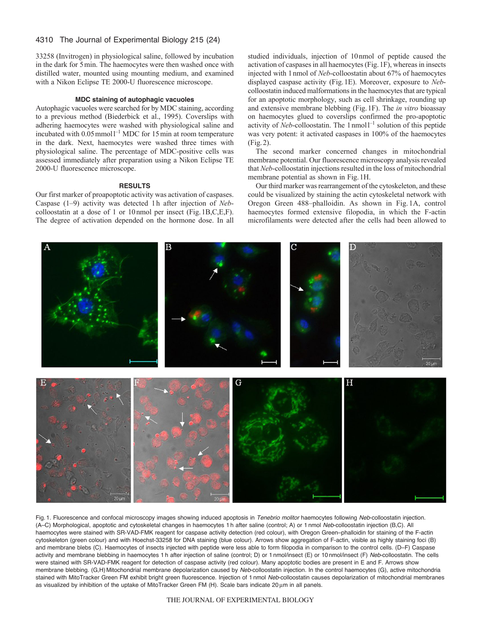### 4310 The Journal of Experimental Biology 215 (24)

33258 (Invitrogen) in physiological saline, followed by incubation in the dark for 5min. The haemocytes were then washed once with distilled water, mounted using mounting medium, and examined with a Nikon Eclipse TE 2000-U fluorescence microscope.

### **MDC staining of autophagic vacuoles**

Autophagic vacuoles were searched for by MDC staining, according to a previous method (Biederbick et al., 1995). Coverslips with adhering haemocytes were washed with physiological saline and incubated with  $0.05$  mmol<sup>1-1</sup> MDC for 15 min at room temperature in the dark. Next, haemocytes were washed three times with physiological saline. The percentage of MDC-positive cells was assessed immediately after preparation using a Nikon Eclipse TE 2000-U fluorescence microscope.

#### **RESULTS**

Our first marker of proapoptotic activity was activation of caspases. Caspase (1–9) activity was detected 1h after injection of *Neb*colloostatin at a dose of 1 or 10nmol per insect (Fig.1B,C,E,F). The degree of activation depended on the hormone dose. In all studied individuals, injection of 10nmol of peptide caused the activation of caspases in all haemocytes (Fig.1F), whereas in insects injected with 1nmol of *Neb*-colloostatin about 67% of haemocytes displayed caspase activity (Fig.1E). Moreover, exposure to *Neb*colloostatin induced malformations in the haemocytes that are typical for an apoptotic morphology, such as cell shrinkage, rounding up and extensive membrane blebbing (Fig.1F). The *in vitro* bioassay on haemocytes glued to coverslips confirmed the pro-apoptotic activity of *Neb*-colloostatin. The 1 nmol<sup>1-1</sup> solution of this peptide was very potent: it activated caspases in 100% of the haemocytes (Fig.2).

The second marker concerned changes in mitochondrial membrane potential. Our fluorescence microscopy analysis revealed that *Neb*-colloostatin injections resulted in the loss of mitochondrial membrane potential as shown in Fig.1H.

Our third marker was rearrangement of the cytoskeleton, and these could be visualized by staining the actin cytoskeletal network with Oregon Green 488–phalloidin. As shown in Fig. 1A, control haemocytes formed extensive filopodia, in which the F-actin microfilaments were detected after the cells had been allowed to



Fig. 1. Fluorescence and confocal microscopy images showing induced apoptosis in *Tenebrio molitor* haemocytes following *Neb*-colloostatin injection. (A–C) Morphological, apoptotic and cytoskeletal changes in haemocytes 1 h after saline (control; A) or 1 nmol *Neb*-colloostatin injection (B,C). All haemocytes were stained with SR-VAD-FMK reagent for caspase activity detection (red colour), with Oregon Green–phalloidin for staining of the F-actin cytoskeleton (green colour) and with Hoechst-33258 for DNA staining (blue colour). Arrows show aggregation of F-actin, visible as highly staining foci (B) and membrane blebs (C). Haemocytes of insects injected with peptide were less able to form filopodia in comparison to the control cells. (D–F) Caspase activity and membrane blebbing in haemocytes 1 h after injection of saline (control; D) or 1 nmol/insect (E) or 10 nmol/insect (F) *Neb*-colloostatin. The cells were stained with SR-VAD-FMK reagent for detection of caspase activity (red colour). Many apoptotic bodies are present in E and F. Arrows show membrane blebbing. (G,H) Mitochondrial membrane depolarization caused by *Neb*-colloostatin injection. In the control haemocytes (G), active mitochondria stained with MitoTracker Green FM exhibit bright green fluorescence. Injection of 1 nmol *Neb*-colloostatin causes depolarization of mitochondrial membranes as visualized by inhibition of the uptake of MitoTracker Green FM (H). Scale bars indicate  $20 \,\mu m$  in all panels.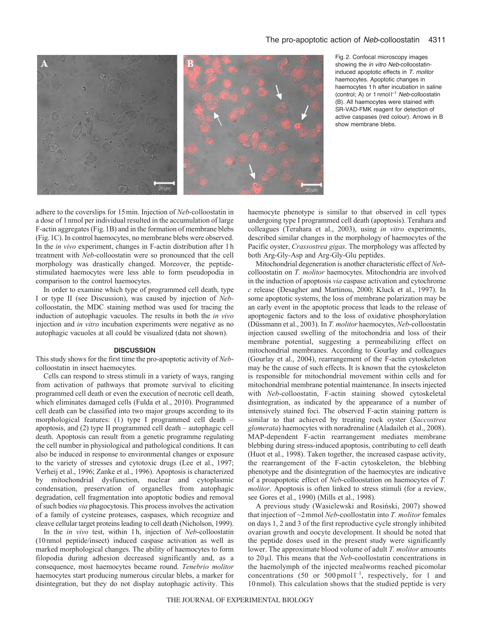

Fig. 2. Confocal microscopy images showing the *in vitro Neb*-colloostatininduced apoptotic effects in *T. molitor* haemocytes. Apoptotic changes in haemocytes 1 h after incubation in saline (control; A) or 1 nmol l –1 *Neb*-colloostatin (B). All haemocytes were stained with SR-VAD-FMK reagent for detection of active caspases (red colour). Arrows in B show membrane blebs.

adhere to the coverslips for 15min. Injection of *Neb*-colloostatin in a dose of 1nmol per individual resulted in the accumulation of large F-actin aggregates (Fig.1B) and in the formation of membrane blebs (Fig.1C). In control haemocytes, no membrane blebs were observed. In the *in vivo* experiment, changes in F-actin distribution after 1h treatment with *Neb*-colloostatin were so pronounced that the cell morphology was drastically changed. Moreover, the peptidestimulated haemocytes were less able to form pseudopodia in comparison to the control haemocytes.

In order to examine which type of programmed cell death, type I or type II (see Discussion), was caused by injection of *Neb*colloostatin, the MDC staining method was used for tracing the induction of autophagic vacuoles. The results in both the *in vivo* injection and *in vitro* incubation experiments were negative as no autophagic vacuoles at all could be visualized (data not shown).

#### **DISCUSSION**

This study shows for the first time the pro-apoptotic activity of *Neb*colloostatin in insect haemocytes.

Cells can respond to stress stimuli in a variety of ways, ranging from activation of pathways that promote survival to eliciting programmed cell death or even the execution of necrotic cell death, which eliminates damaged cells (Fulda et al., 2010). Programmed cell death can be classified into two major groups according to its morphological features: (1) type I programmed cell death – apoptosis, and (2) type II programmed cell death – autophagic cell death. Apoptosis can result from a genetic programme regulating the cell number in physiological and pathological conditions. It can also be induced in response to environmental changes or exposure to the variety of stresses and cytotoxic drugs (Lee et al., 1997; Verheij et al., 1996; Zanke et al., 1996). Apoptosis is characterized by mitochondrial dysfunction, nuclear and cytoplasmic condensation, preservation of organelles from autophagic degradation, cell fragmentation into apoptotic bodies and removal of such bodies *via* phagocytosis. This process involves the activation of a family of cysteine proteases, caspases, which recognize and cleave cellular target proteins leading to cell death (Nicholson, 1999).

In the *in vivo* test, within 1h, injection of *Neb*-colloostatin (10nmol peptide/insect) induced caspase activation as well as marked morphological changes. The ability of haemocytes to form filopodia during adhesion decreased significantly and, as a consequence, most haemocytes became round. *Tenebrio molitor* haemocytes start producing numerous circular blebs, a marker for disintegration, but they do not display autophagic activity. This haemocyte phenotype is similar to that observed in cell types undergoing type I programmed cell death (apoptosis). Terahara and colleagues (Terahara et al., 2003), using *in vitro* experiments, described similar changes in the morphology of haemocytes of the Pacific oyster, *Crassostrea gigas*. The morphology was affected by both Arg-Gly-Asp and Arg-Gly-Glu peptides.

Mitochondrial degeneration is another characteristic effect of *Neb*colloostatin on *T. molitor* haemocytes. Mitochondria are involved in the induction of apoptosis *via* caspase activation and cytochrome *c* release (Desagher and Martinou, 2000; Kluck et al., 1997). In some apoptotic systems, the loss of membrane polarization may be an early event in the apoptotic process that leads to the release of apoptogenic factors and to the loss of oxidative phosphorylation (Düssmann et al., 2003). In *T. molitor* haemocytes, *Neb*-colloostatin injection caused swelling of the mitochondria and loss of their membrane potential, suggesting a permeabilizing effect on mitochondrial membranes. According to Gourlay and colleagues (Gourlay et al., 2004), rearrangement of the F-actin cytoskeleton may be the cause of such effects. It is known that the cytoskeleton is responsible for mitochondrial movement within cells and for mitochondrial membrane potential maintenance. In insects injected with *Neb*-colloostatin, F-actin staining showed cytoskeletal disintegration, as indicated by the appearance of a number of intensively stained foci. The observed F-actin staining pattern is similar to that achieved by treating rock oyster (*Saccostrea glomerata*) haemocytes with noradrenaline (Aladaileh et al., 2008). MAP-dependent F-actin rearrangement mediates membrane blebbing during stress-induced apoptosis, contributing to cell death (Huot et al., 1998). Taken together, the increased caspase activity, the rearrangement of the F-actin cytoskeleton, the blebbing phenotype and the disintegration of the haemocytes are indicative of a proapoptotic effect of *Neb*-colloostation on haemocytes of *T. molitor*. Apoptosis is often linked to stress stimuli (for a review, see Gores et al., 1990) (Mills et al., 1998).

A previous study (Wasielewski and Rosiński, 2007) showed that injection of ~2mmol *Neb*-coollostatin into *T. molitor* females on days 1, 2 and 3 of the first reproductive cycle strongly inhibited ovarian growth and oocyte development. It should be noted that the peptide doses used in the present study were significantly lower. The approximate blood volume of adult *T. molitor* amounts to 20µl. This means that the *Neb*-coollostatin concentrations in the haemolymph of the injected mealworms reached picomolar concentrations  $(50 \text{ or } 500 \text{ pmol } 1^{-1})$ , respectively, for 1 and 10 nmol). This calculation shows that the studied peptide is very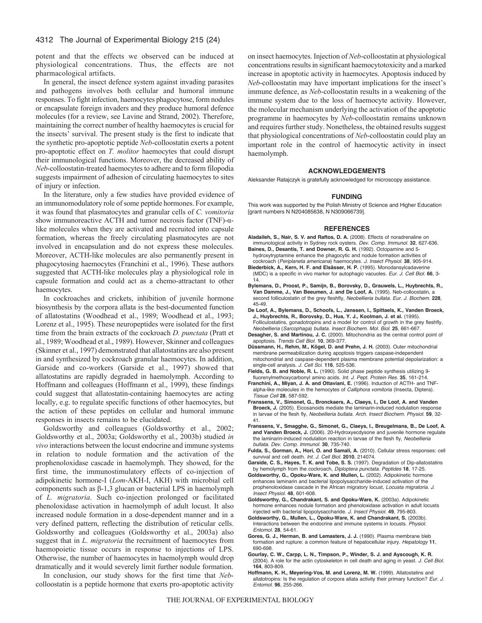potent and that the effects we observed can be induced at physiological concentrations. Thus, the effects are not pharmacological artifacts.

In general, the insect defence system against invading parasites and pathogens involves both cellular and humoral immune responses. To fight infection, haemocytes phagocytose, form nodules or encapsulate foreign invaders and they produce humoral defence molecules (for a review, see Lavine and Strand, 2002). Therefore, maintaining the correct number of healthy haemocytes is crucial for the insects' survival. The present study is the first to indicate that the synthetic pro-apoptotic peptide *Neb*-colloostatin exerts a potent pro-apoptotic effect on *T. molitor* haemocytes that could disrupt their immunological functions. Moreover, the decreased ability of *Neb*-colloostatin-treated haemocytes to adhere and to form filopodia suggests impairment of adhesion of circulating haemocytes to sites of injury or infection.

In the literature, only a few studies have provided evidence of an immunomodulatory role of some peptide hormones. For example, it was found that plasmatocytes and granular cells of *C. vomitoria* show immunoreactive ACTH and tumor necrosis factor (TNF)-αlike molecules when they are activated and recruited into capsule formation, whereas the freely circulating plasmatocytes are not involved in encapsulation and do not express these molecules. Moreover, ACTH-like molecules are also permanently present in phagocytosing haemocytes (Franchini et al., 1996). These authors suggested that ACTH-like molecules play a physiological role in capsule formation and could act as a chemo-attractant to other haemocytes.

In cockroaches and crickets, inhibition of juvenile hormone biosynthesis by the corpora allata is the best-documented function of allatostatins (Woodhead et al., 1989; Woodhead et al., 1993; Lorenz et al., 1995). These neuropeptides were isolated for the first time from the brain extracts of the cockroach *D. punctata* (Pratt et al., 1989; Woodhead et al., 1989). However, Skinner and colleagues (Skinner et al., 1997) demonstrated that allatostatins are also present in and synthesized by cockroach granular haemocytes. In addition, Garside and co-workers (Garside et al., 1997) showed that allatostatins are rapidly degraded in haemolymph. According to Hoffmann and colleagues (Hoffmann et al., 1999), these findings could suggest that allatostatin-containing haemocytes are acting locally, e.g. to regulate specific functions of other haemocytes, but the action of these peptides on cellular and humoral immune responses in insects remains to be elucidated.

Goldsworthy and colleagues (Goldsworthy et al., 2002; Goldsworthy et al., 2003a; Goldsworthy et al., 2003b) studied *in vivo* interactions between the locust endocrine and immune systems in relation to nodule formation and the activation of the prophenoloxidase cascade in haemolymph. They showed, for the first time, the immunostimulatory effects of co-injection of adipokinetic hormone-I (*Lom*-AKH-I, AKH) with microbial cell components such as β-1,3 glucan or bacterial LPS in haemolymph of *L. migratoria*. Such co-injection prolonged or facilitated phenoloxidase activation in haemolymph of adult locust. It also increased nodule formation in a dose-dependent manner and in a very defined pattern, reflecting the distribution of reticular cells. Goldsworthy and colleagues (Goldsworthy et al., 2003a) also suggest that in *L. migratoria* the recruitment of haemocytes from haemopoietic tissue occurs in response to injections of LPS. Otherwise, the number of haemocytes in haemolymph would drop dramatically and it would severely limit further nodule formation.

In conclusion, our study shows for the first time that *Neb*colloostatin is a peptide hormone that exerts pro-apoptotic activity on insect haemocytes. Injection of *Neb*-colloostatin at physiological concentrations results in significant haemocytotoxicity and a marked increase in apoptotic activity in haemocytes. Apoptosis induced by *Neb*-colloostatin may have important implications for the insect's immune defence, as *Neb*-colloostatin results in a weakening of the immune system due to the loss of haemocyte activity. However, the molecular mechanism underlying the activation of the apoptotic programme in haemocytes by *Neb*-colloostatin remains unknown and requires further study. Nonetheless, the obtained results suggest that physiological concentrations of *Neb*-colloostatin could play an important role in the control of haemocytic activity in insect haemolymph.

#### **ACKNOWLEDGEMENTS**

Aleksander Ratajczyk is gratefully acknowledged for microscopy assistance.

#### **FUNDING**

This work was supported by the Polish Ministry of Science and Higher Education [grant numbers N N204085638, N N309066739].

#### **REFERENCES**

- **Aladaileh, S., Nair, S. V. and Raftos, D. A.** (2008). Effects of noradrenaline on immunological activity in Sydney rock oysters. *Dev. Comp. Immunol.* **32**, 627-636.
- **Baines, D., Desantis, T. and Downer, R. G. H.** (1992). Octopamine and 5 hydroxytryptamine enhance the phagocytic and nodule formation activities of cockroach (*Periplaneta americana*) haemocytes. *J. Insect Physiol.* **38**, 905-914.
- **Biederbick, A., Kern, H. F. and Elsässer, H. P.** (1995). Monodansylcadaverine (MDC) is a specific in vivo marker for autophagic vacuoles. *Eur. J. Cell Biol.* **66**, 3- 14.
- **Bylemans, D., Proost, P., Samijn, B., Borovsky, D., Grauwels, L., Huybrechts, R., Van Damme, J., Van Beeumen, J. and De Loof, A.** (1995). Neb-colloostatin, a second folliculostatin of the grey fleshfly, *Neobellieria bullata. Eur. J. Biochem.* **228**, 45-49.
- **De Loof, A., Bylemans, D., Schoofs, L., Janssen, I., Spittaels, K., Vanden Broeck, J., Huybrechts, R., Borovsky, D., Hua, Y. J., Koolman, J. et al.** (1995). Folliculostatins, gonadotropins and a model for control of growth in the grey fleshfly, *Neobellieria* (*Sarcophaga*) *bullata. Insect Biochem. Mol. Biol.* **25**, 661-667.
- **Desagher, S. and Martinou, J. C.** (2000). Mitochondria as the central control point of apoptosis. *Trends Cell Biol.* **10**, 369-377.
- Düssmann, H., Rehm, M., Kögel, D. and Prehn, J. H. (2003). Outer mitochondrial membrane permeabilization during apoptosis triggers caspase-independent mitochondrial and caspase-dependent plasma membrane potential depolarization: a single-cell analysis. *J. Cell Sci.* **116**, 525-536.
- **Fields, G. B. and Noble, R. L.** (1990). Solid phase peptide synthesis utilizing 9 fluorenylmethoxycarbonyl amino acids. *Int. J. Pept. Protein Res.* **35**, 161-214.
- **Franchini, A., Miyan, J. A. and Ottaviani, E.** (1996). Induction of ACTH- and TNFalpha-like molecules in the hemocytes of *Calliphora vomitoria* (Insecta, Diptera). *Tissue Cell* **28**, 587-592.
- **Franssens, V., Simonet, G., Bronckaers, A., Claeys, I., De Loof, A. and Vanden Broeck, J.** (2005). Eicosanoids mediate the laminarin-induced nodulation response in larvae of the flesh fly, *Neobellieria bullata. Arch. Insect Biochem. Physiol.* **59**, 32- 41.
- **Franssens, V., Smagghe, G., Simonet, G., Claeys, I., Breugelmans, B., De Loof, A. and Vanden Broeck, J.** (2006). 20-Hydroxyecdysone and juvenile hormone regulate the laminarin-induced nodulation reaction in larvae of the flesh fly, *Neobellieria bullata. Dev. Comp. Immunol.* **30**, 735-740.
- **Fulda, S., Gorman, A., Hori, O. and Samali, A.** (2010). Cellular stress responses: cell survival and cell death. *Int. J. Cell Biol.* **2010**, 214074.
- **Garside, C. S., Hayes, T. K. and Tobe, S. S.** (1997). Degradation of Dip-allatostatins by hemolymph from the cockroach, *Diploptera punctata. Peptides* **18**, 17-25.
- **Goldsworthy, G., Opoku-Ware, K. and Mullen, L.** (2002). Adipokinetic hormone enhances laminarin and bacterial lipopolysaccharide-induced activation of the prophenoloxidase cascade in the African migratory locust, *Locusta migratoria. J. Insect Physiol.* **48**, 601-608.
- **Goldsworthy, G., Chandrakant, S. and Opoku-Ware, K.** (2003a). Adipokinetic hormone enhances nodule formation and phenoloxidase activation in adult locusts injected with bacterial lipopolysaccharide. *J. Insect Physiol.* **49**, 795-803.
- **Goldsworthy, G., Mullen, L., Opoku-Ware, K. and Chandrakant, S.** (2003b). Interactions between the endocrine and immune systems in locusts. *Physiol. Entomol.* **28**, 54-61.
- **Gores, G. J., Herman, B. and Lemasters, J. J.** (1990). Plasma membrane bleb formation and rupture: a common feature of hepatocellular injury. *Hepatology* **11**, 690-698.
- **Gourlay, C. W., Carpp, L. N., Timpson, P., Winder, S. J. and Ayscough, K. R.** (2004). A role for the actin cytoskeleton in cell death and aging in yeast. *J. Cell Biol.* **164**, 803-809.
- **Hoffmann, K. H., Meyering-Vos, M. and Lorenz, M. W.** (1999). Allatostatins and allatotropins: Is the regulation of corpora allata activity their primary function? *Eur. J. Entomol.* **96**, 255-266.